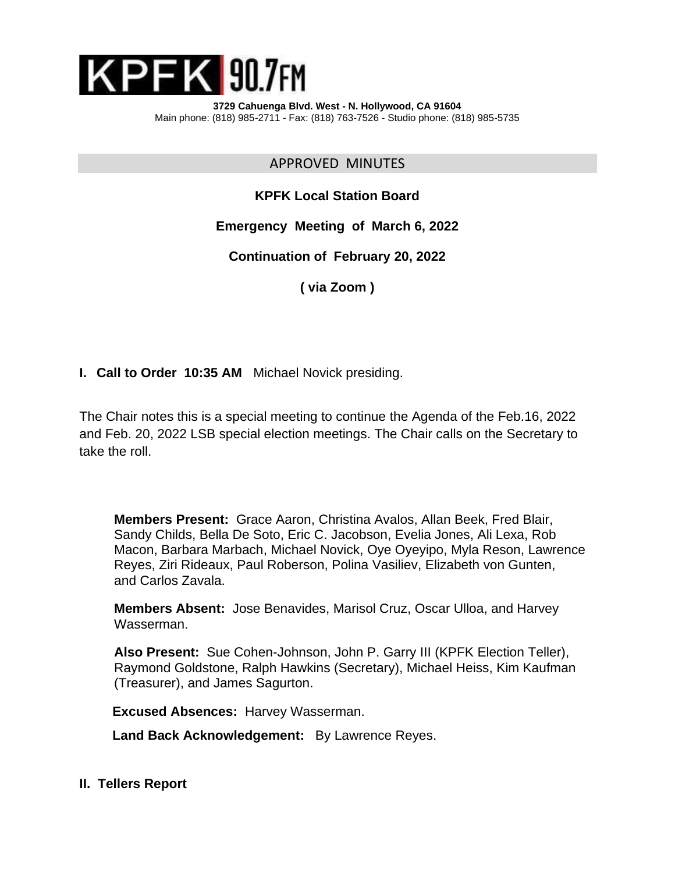

APPROVED MINUTES

**KPFK Local Station Board**

**Emergency Meeting of March 6, 2022**

**Continuation of February 20, 2022**

**( via Zoom )**

**I. Call to Order 10:35 AM** Michael Novick presiding.

The Chair notes this is a special meeting to continue the Agenda of the Feb.16, 2022 and Feb. 20, 2022 LSB special election meetings. The Chair calls on the Secretary to take the roll.

**Members Present:** Grace Aaron, Christina Avalos, Allan Beek, Fred Blair, Sandy Childs, Bella De Soto, Eric C. Jacobson, Evelia Jones, Ali Lexa, Rob Macon, Barbara Marbach, Michael Novick, Oye Oyeyipo, Myla Reson, Lawrence Reyes, Ziri Rideaux, Paul Roberson, Polina Vasiliev, Elizabeth von Gunten, and Carlos Zavala.

**Members Absent:** Jose Benavides, Marisol Cruz, Oscar Ulloa, and Harvey Wasserman.

**Also Present:** Sue Cohen-Johnson, John P. Garry III (KPFK Election Teller), Raymond Goldstone, Ralph Hawkins (Secretary), Michael Heiss, Kim Kaufman (Treasurer), and James Sagurton.

 **Excused Absences:** Harvey Wasserman.

**Land Back Acknowledgement:** By Lawrence Reyes.

**II. Tellers Report**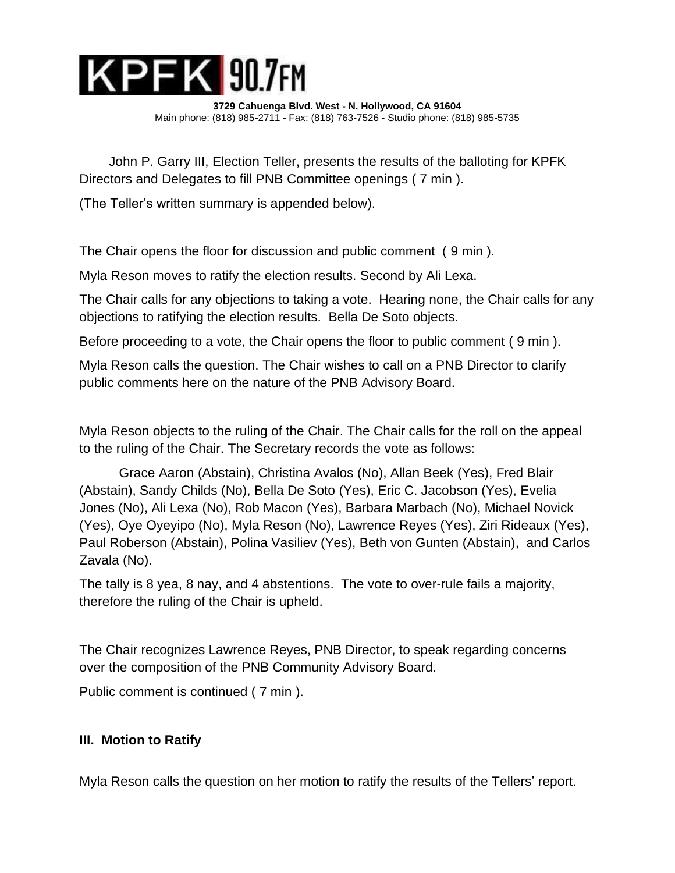

John P. Garry III, Election Teller, presents the results of the balloting for KPFK Directors and Delegates to fill PNB Committee openings ( 7 min ).

(The Teller's written summary is appended below).

The Chair opens the floor for discussion and public comment ( 9 min ).

Myla Reson moves to ratify the election results. Second by Ali Lexa.

The Chair calls for any objections to taking a vote. Hearing none, the Chair calls for any objections to ratifying the election results. Bella De Soto objects.

Before proceeding to a vote, the Chair opens the floor to public comment ( 9 min ).

Myla Reson calls the question. The Chair wishes to call on a PNB Director to clarify public comments here on the nature of the PNB Advisory Board.

Myla Reson objects to the ruling of the Chair. The Chair calls for the roll on the appeal to the ruling of the Chair. The Secretary records the vote as follows:

Grace Aaron (Abstain), Christina Avalos (No), Allan Beek (Yes), Fred Blair (Abstain), Sandy Childs (No), Bella De Soto (Yes), Eric C. Jacobson (Yes), Evelia Jones (No), Ali Lexa (No), Rob Macon (Yes), Barbara Marbach (No), Michael Novick (Yes), Oye Oyeyipo (No), Myla Reson (No), Lawrence Reyes (Yes), Ziri Rideaux (Yes), Paul Roberson (Abstain), Polina Vasiliev (Yes), Beth von Gunten (Abstain), and Carlos Zavala (No).

The tally is 8 yea, 8 nay, and 4 abstentions. The vote to over-rule fails a majority, therefore the ruling of the Chair is upheld.

The Chair recognizes Lawrence Reyes, PNB Director, to speak regarding concerns over the composition of the PNB Community Advisory Board.

Public comment is continued ( 7 min ).

# **III. Motion to Ratify**

Myla Reson calls the question on her motion to ratify the results of the Tellers' report.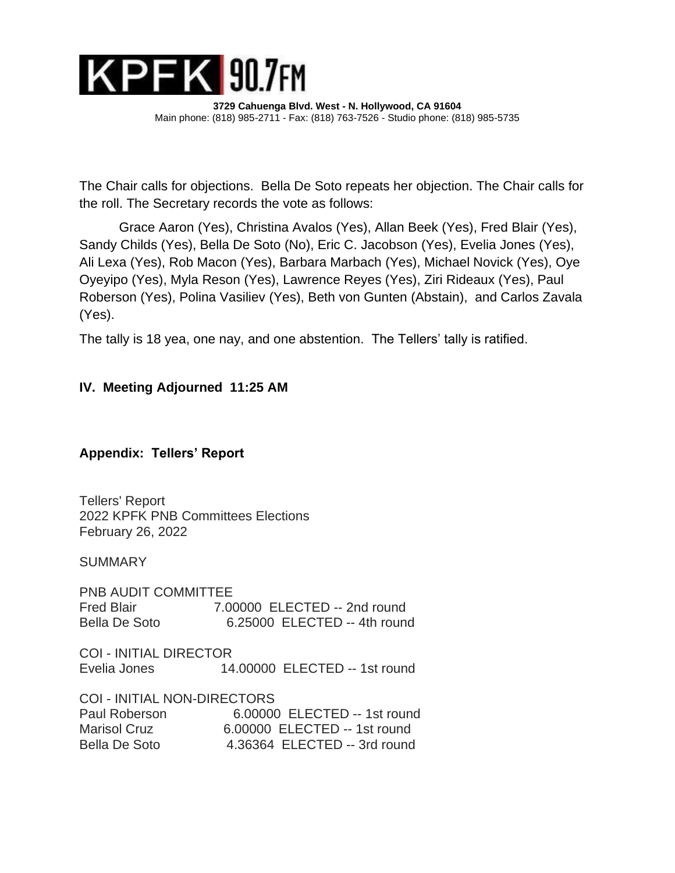

The Chair calls for objections. Bella De Soto repeats her objection. The Chair calls for the roll. The Secretary records the vote as follows:

Grace Aaron (Yes), Christina Avalos (Yes), Allan Beek (Yes), Fred Blair (Yes), Sandy Childs (Yes), Bella De Soto (No), Eric C. Jacobson (Yes), Evelia Jones (Yes), Ali Lexa (Yes), Rob Macon (Yes), Barbara Marbach (Yes), Michael Novick (Yes), Oye Oyeyipo (Yes), Myla Reson (Yes), Lawrence Reyes (Yes), Ziri Rideaux (Yes), Paul Roberson (Yes), Polina Vasiliev (Yes), Beth von Gunten (Abstain), and Carlos Zavala (Yes).

The tally is 18 yea, one nay, and one abstention. The Tellers' tally is ratified.

# **IV. Meeting Adjourned 11:25 AM**

## **Appendix: Tellers' Report**

Tellers' Report 2022 KPFK PNB Committees Elections February 26, 2022

SUMMARY

PNB AUDIT COMMITTEE Fred Blair 7.00000 ELECTED -- 2nd round<br>Bella De Soto 6.25000 ELECTED -- 4th round 6.25000 ELECTED -- 4th round

COI - INITIAL DIRECTOR Evelia Jones 14.00000 ELECTED -- 1st round

COI - INITIAL NON-DIRECTORS Paul Roberson 6.00000 ELECTED -- 1st round Marisol Cruz **6.00000 ELECTED -- 1st round** Bella De Soto 4.36364 ELECTED -- 3rd round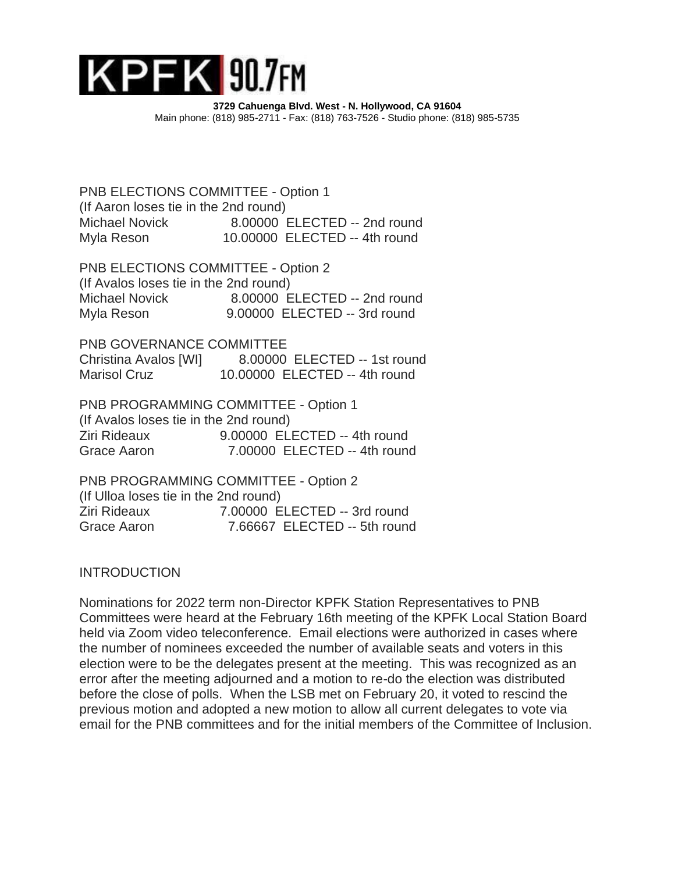

PNB ELECTIONS COMMITTEE - Option 1 (If Aaron loses tie in the 2nd round) Michael Novick 8.00000 ELECTED -- 2nd round Myla Reson 10.00000 ELECTED -- 4th round

PNB ELECTIONS COMMITTEE - Option 2 (If Avalos loses tie in the 2nd round) Michael Novick 8.00000 ELECTED -- 2nd round Myla Reson 9.00000 ELECTED -- 3rd round

PNB GOVERNANCE COMMITTEE Christina Avalos [WI] 8.00000 ELECTED -- 1st round Marisol Cruz 10.00000 ELECTED -- 4th round

PNB PROGRAMMING COMMITTEE - Option 1 (If Avalos loses tie in the 2nd round) Ziri Rideaux 9.00000 ELECTED -- 4th round Grace Aaron 7.00000 ELECTED -- 4th round

PNB PROGRAMMING COMMITTEE - Option 2 (If Ulloa loses tie in the 2nd round) Ziri Rideaux 7.00000 ELECTED -- 3rd round Grace Aaron 7.66667 ELECTED -- 5th round

**INTRODUCTION** 

Nominations for 2022 term non-Director KPFK Station Representatives to PNB Committees were heard at the February 16th meeting of the KPFK Local Station Board held via Zoom video teleconference. Email elections were authorized in cases where the number of nominees exceeded the number of available seats and voters in this election were to be the delegates present at the meeting. This was recognized as an error after the meeting adjourned and a motion to re-do the election was distributed before the close of polls. When the LSB met on February 20, it voted to rescind the previous motion and adopted a new motion to allow all current delegates to vote via email for the PNB committees and for the initial members of the Committee of Inclusion.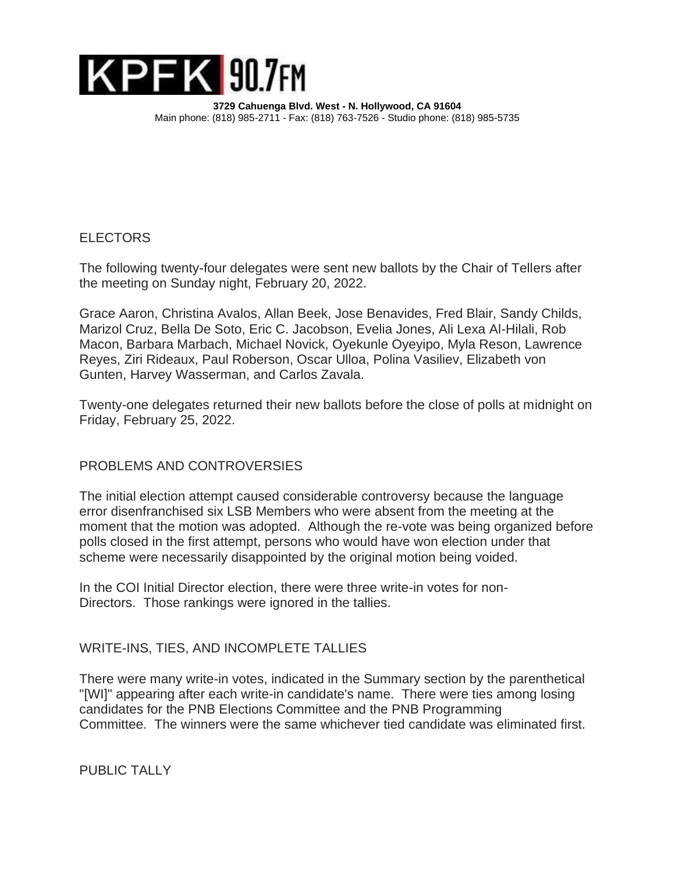

## **ELECTORS**

The following twenty-four delegates were sent new ballots by the Chair of Tellers after the meeting on Sunday night, February 20, 2022.

Grace Aaron, Christina Avalos, Allan Beek, Jose Benavides, Fred Blair, Sandy Childs, Marizol Cruz, Bella De Soto, Eric C. Jacobson, Evelia Jones, Ali Lexa Al-Hilali, Rob Macon, Barbara Marbach, Michael Novick, Oyekunle Oyeyipo, Myla Reson, Lawrence Reyes, Ziri Rideaux, Paul Roberson, Oscar Ulloa, Polina Vasiliev, Elizabeth von Gunten, Harvey Wasserman, and Carlos Zavala.

Twenty-one delegates returned their new ballots before the close of polls at midnight on Friday, February 25, 2022.

## PROBLEMS AND CONTROVERSIES

The initial election attempt caused considerable controversy because the language error disenfranchised six LSB Members who were absent from the meeting at the moment that the motion was adopted. Although the re-vote was being organized before polls closed in the first attempt, persons who would have won election under that scheme were necessarily disappointed by the original motion being voided.

In the COI Initial Director election, there were three write-in votes for non-Directors. Those rankings were ignored in the tallies.

## WRITE-INS, TIES, AND INCOMPLETE TALLIES

There were many write-in votes, indicated in the Summary section by the parenthetical "[WI]" appearing after each write-in candidate's name. There were ties among losing candidates for the PNB Elections Committee and the PNB Programming Committee. The winners were the same whichever tied candidate was eliminated first.

PUBLIC TALLY